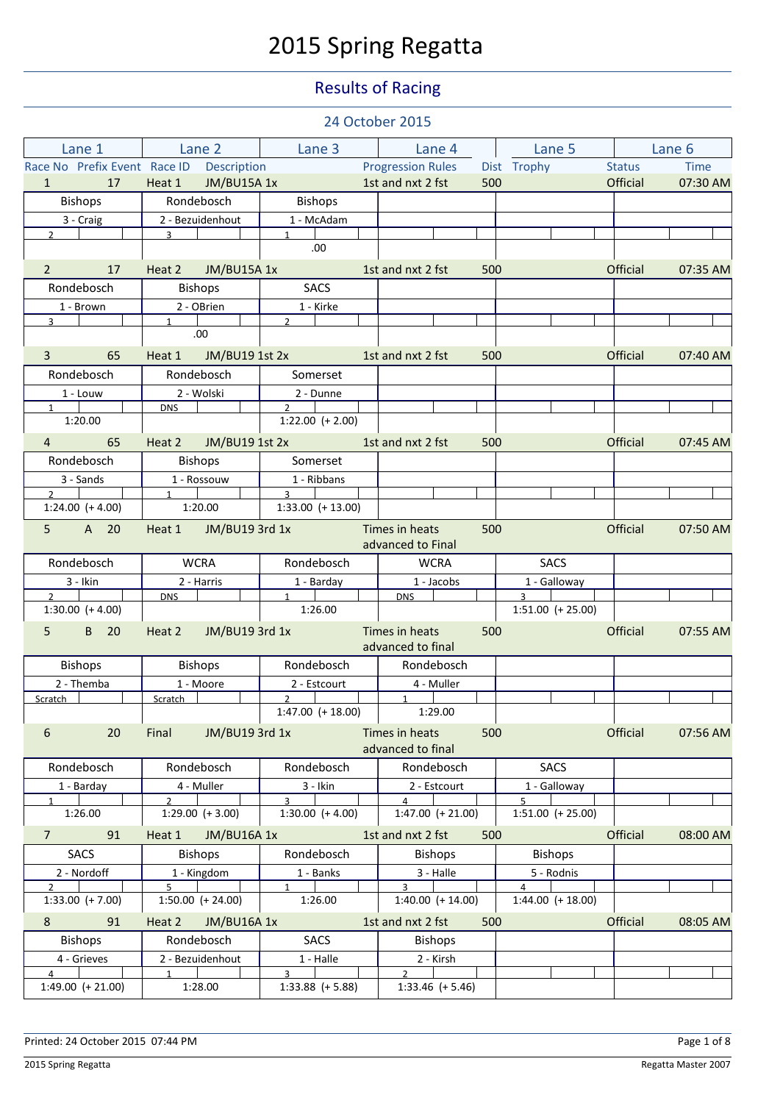# 2015 Spring Regatta

### Results of Racing

|                                      |                              |                                       | 24 October 2015                       |                                       |                 |             |
|--------------------------------------|------------------------------|---------------------------------------|---------------------------------------|---------------------------------------|-----------------|-------------|
| Lane 1                               | Lane 2                       | Lane 3                                | Lane 4                                | Lane 5                                |                 | Lane 6      |
| Race No Prefix Event Race ID         | <b>Description</b>           |                                       | <b>Progression Rules</b>              | Dist Trophy                           | <b>Status</b>   | <b>Time</b> |
| $\mathbf{1}$<br>17                   | Heat 1<br><b>JM/BU15A 1x</b> |                                       | 1st and nxt 2 fst                     | 500                                   | Official        | 07:30 AM    |
| <b>Bishops</b>                       | Rondebosch                   | <b>Bishops</b>                        |                                       |                                       |                 |             |
| 3 - Craig                            | 2 - Bezuidenhout             | 1 - McAdam                            |                                       |                                       |                 |             |
| $2^{\circ}$                          | $\overline{3}$               | $\mathbf{1}$<br>.00                   |                                       |                                       |                 |             |
| 17<br>$\overline{2}$                 | Heat 2<br>JM/BU15A 1x        |                                       | 1st and nxt 2 fst                     | 500                                   | Official        | 07:35 AM    |
| Rondebosch                           | <b>Bishops</b>               | <b>SACS</b>                           |                                       |                                       |                 |             |
| 1 - Brown                            | 2 - OBrien                   | 1 - Kirke                             |                                       |                                       |                 |             |
| $\overline{3}$                       | $\mathbf{1}$<br>.00          | $\mathcal{L}$                         |                                       |                                       |                 |             |
| $\overline{3}$<br>65                 | JM/BU19 1st 2x<br>Heat 1     |                                       | 1st and nxt 2 fst                     | 500                                   | <b>Official</b> | 07:40 AM    |
| Rondebosch                           | Rondebosch                   | Somerset                              |                                       |                                       |                 |             |
| 1 - Louw                             | 2 - Wolski                   | 2 - Dunne                             |                                       |                                       |                 |             |
| 1<br>1:20.00                         | <b>DNS</b>                   | $2^{\circ}$<br>$1:22.00 (+ 2.00)$     |                                       |                                       |                 |             |
|                                      |                              |                                       |                                       |                                       |                 |             |
| 65<br>$\overline{4}$                 | JM/BU19 1st 2x<br>Heat 2     |                                       | 1st and nxt 2 fst                     | 500                                   | Official        | 07:45 AM    |
| Rondebosch                           | <b>Bishops</b>               | Somerset                              |                                       |                                       |                 |             |
| 3 - Sands                            | 1 - Rossouw                  | 1 - Ribbans                           |                                       |                                       |                 |             |
| $2^{\circ}$<br>$1:24.00 (+ 4.00)$    | 1<br>1:20.00                 | $\overline{3}$<br>$1:33.00 (+ 13.00)$ |                                       |                                       |                 |             |
|                                      |                              |                                       |                                       |                                       |                 |             |
| 5<br>A 20                            | Heat 1<br>JM/BU19 3rd 1x     |                                       | Times in heats<br>advanced to Final   | 500                                   | <b>Official</b> | 07:50 AM    |
| Rondebosch                           | <b>WCRA</b>                  | Rondebosch                            | <b>WCRA</b>                           | <b>SACS</b>                           |                 |             |
| $3 - I$ kin                          | 2 - Harris                   | 1 - Barday                            | 1 - Jacobs                            | 1 - Galloway                          |                 |             |
| $2^{\circ}$<br>$1:30.00 (+ 4.00)$    | <b>DNS</b>                   | $\mathbf{1}$<br>1:26.00               | <b>DNS</b>                            | $\overline{3}$<br>$1:51.00 (+ 25.00)$ |                 |             |
| 5<br>B 20                            | JM/BU19 3rd 1x<br>Heat 2     |                                       | Times in heats<br>advanced to final   | 500                                   | Official        | 07:55 AM    |
| <b>Bishops</b>                       | <b>Bishops</b>               | Rondebosch                            | Rondebosch                            |                                       |                 |             |
| 2 - Themba                           | 1 - Moore                    | 2 - Estcourt                          | 4 - Muller                            |                                       |                 |             |
| Scratch T                            | Scratch                      | $2 \mid$                              | $\overline{1}$                        |                                       |                 |             |
|                                      |                              | $1:47.00 (+ 18.00)$                   | 1:29.00                               |                                       |                 |             |
| 6<br>20                              | Final<br>JM/BU19 3rd 1x      |                                       | Times in heats<br>advanced to final   | 500                                   | Official        | 07:56 AM    |
| Rondebosch                           | Rondebosch                   | Rondebosch                            | Rondebosch                            | <b>SACS</b>                           |                 |             |
| 1 - Barday                           | 4 - Muller                   | 3 - Ikin                              | 2 - Estcourt                          | 1 - Galloway                          |                 |             |
| $\mathbf{1}$                         | $\mathcal{P}$                | $\mathbf{3}$                          | $\overline{4}$                        | 5                                     |                 |             |
| 1:26.00                              | $1:29.00 (+ 3.00)$           | $1:30.00 (+ 4.00)$                    | $1:47.00 (+ 21.00)$                   | $1:51.00 (+25.00)$                    |                 |             |
| 91<br>$\overline{7}$                 | Heat 1<br><b>JM/BU16A 1x</b> |                                       | 1st and nxt 2 fst                     | 500                                   | Official        | 08:00 AM    |
| <b>SACS</b>                          | <b>Bishops</b>               | Rondebosch                            | <b>Bishops</b>                        | <b>Bishops</b>                        |                 |             |
| 2 - Nordoff                          | 1 - Kingdom                  | $1 -$ Banks                           | 3 - Halle                             | 5 - Rodnis                            |                 |             |
| $\overline{2}$<br>$1:33.00 (+ 7.00)$ | 5<br>$1:50.00 (+ 24.00)$     | $\mathbf{1}$<br>1:26.00               | $\overline{3}$<br>$1:40.00 (+ 14.00)$ | $\overline{4}$<br>$1:44.00 (+ 18.00)$ |                 |             |
| 8<br>91                              | Heat 2<br><b>JM/BU16A1x</b>  |                                       | 1st and nxt 2 fst                     | 500                                   | Official        | 08:05 AM    |
| <b>Bishops</b>                       | Rondebosch                   | <b>SACS</b>                           | <b>Bishops</b>                        |                                       |                 |             |
| 4 - Grieves                          | 2 - Bezuidenhout             | 1 - Halle                             | 2 - Kirsh                             |                                       |                 |             |
| $\overline{4}$                       | $\mathbf{1}$                 | $\overline{3}$                        | $\mathfrak{D}$                        |                                       |                 |             |
| $1:49.00 (+ 21.00)$                  | 1:28.00                      | $1:33.88$ (+ 5.88)                    | $1:33.46 (+ 5.46)$                    |                                       |                 |             |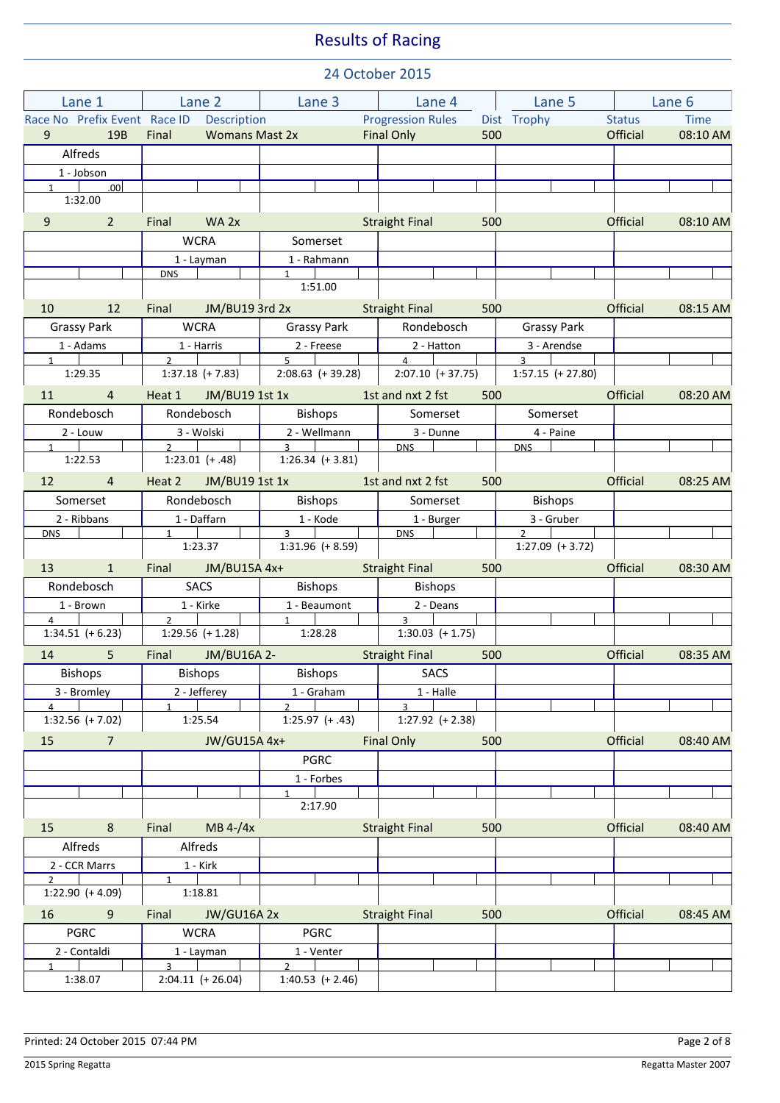| Lane 1                               | Lane 2 Lane 3                                           |                                         | Lane 4                               | Lane 5                                | Lane 6                |  |
|--------------------------------------|---------------------------------------------------------|-----------------------------------------|--------------------------------------|---------------------------------------|-----------------------|--|
|                                      | Race No Prefix Event Race ID Description                | Progression Rules Dist Trophy           |                                      |                                       | Time<br><b>Status</b> |  |
| 9<br>19B                             | Final                                                   | <b>Womans Mast 2x</b>                   | Final Only<br>500                    |                                       | Official<br>08:10 AM  |  |
| Alfreds                              |                                                         |                                         |                                      |                                       |                       |  |
| 1 - Jobson                           |                                                         |                                         |                                      |                                       |                       |  |
| $1 \qquad \qquad .00$<br>1:32.00     |                                                         |                                         |                                      |                                       |                       |  |
| 9<br>$\overline{2}$                  | Final<br>WA 2x                                          |                                         | <b>Straight Final</b><br>500         |                                       | Official              |  |
|                                      | <b>WCRA</b>                                             | Somerset                                |                                      |                                       | 08:10 AM              |  |
|                                      |                                                         |                                         |                                      |                                       |                       |  |
|                                      | 1 - Layman<br><b>DNS</b>                                | 1 - Rahmann<br>$1 \quad$                |                                      |                                       |                       |  |
|                                      |                                                         | 1:51.00                                 |                                      |                                       |                       |  |
| 12<br>10                             | Final JM/BU19 3rd 2x                                    |                                         | <b>Straight Final</b><br>500         |                                       | Official<br>08:15 AM  |  |
| <b>Grassy Park</b>                   | <b>WCRA</b>                                             | <b>Grassy Park</b>                      | Rondebosch                           | <b>Grassy Park</b>                    |                       |  |
| 1 - Adams                            | 1 - Harris                                              | 2 - Freese                              | 2 - Hatton                           | 3 - Arendse                           |                       |  |
| $1 \quad  $<br>1:29.35               | $\overline{2}$ and $\overline{2}$<br>$1:37.18 (+ 7.83)$ | $5^{\circ}$<br>$2:08.63$ (+ 39.28)      | $\overline{4}$<br>$2:07.10 (+37.75)$ | $\overline{3}$<br>$1:57.15 (+ 27.80)$ |                       |  |
|                                      |                                                         |                                         |                                      |                                       |                       |  |
| $11$ 4                               | Heat 1 JM/BU19 1st 1x                                   |                                         | 1st and nxt 2 fst<br>500             |                                       | Official<br>08:20 AM  |  |
| Rondebosch                           | Rondebosch                                              | Bishops                                 | Somerset                             | Somerset                              |                       |  |
| 2 - Louw<br>$1 \quad \blacksquare$   | 3 - Wolski<br>$2^{\circ}$                               | 2 - Wellmann<br>$\overline{\mathbf{3}}$ | 3 - Dunne<br><b>DNS</b>              | 4 - Paine<br><b>DNS</b>               |                       |  |
| 1:22.53                              | $1:23.01 (+.48)$                                        | $1:26.34 (+3.81)$                       |                                      |                                       |                       |  |
| 12<br>$\overline{4}$                 | Heat 2 JM/BU19 1st 1x                                   |                                         | 1st and nxt 2 fst<br>500             |                                       | Official<br>08:25 AM  |  |
| Somerset                             | Rondebosch                                              | <b>Bishops</b>                          | Somerset                             | Bishops                               |                       |  |
| 2 - Ribbans                          | 1 - Daffarn                                             | 1 - Kode                                | 1 - Burger                           | 3 - Gruber                            |                       |  |
| <b>DNS</b>                           | $1 \quad \blacksquare$                                  | $3^{\circ}$                             | <b>DNS</b>                           | $2^{\circ}$                           |                       |  |
|                                      | 1:23.37                                                 | $1:31.96 (+ 8.59)$                      |                                      | $1:27.09$ (+ 3.72)                    |                       |  |
| $\mathbf{1}$<br>13                   | Final JM/BU15A 4x+                                      |                                         | <b>Straight Final</b><br>500         |                                       | Official<br>08:30 AM  |  |
| Rondebosch                           | SACS                                                    | Bishops                                 | <b>Bishops</b>                       |                                       |                       |  |
| 1 - Brown<br>$\overline{4}$          | 1 - Kirke<br>$2 \left  \right $                         | 1 - Beaumont<br>$\mathbf 1$             | 2 - Deans<br>$3 \mid$                |                                       |                       |  |
| $1:34.51 (+ 6.23)$                   | $1:29.56 (+ 1.28)$                                      | 1:28.28                                 | $1:30.03$ (+ 1.75)                   |                                       |                       |  |
| 14<br>5 <sup>5</sup>                 | Final JM/BU16A 2-                                       |                                         | <b>Straight Final</b><br>500         |                                       | Official<br>08:35 AM  |  |
| Bishops                              | Bishops                                                 | Bishops                                 | <b>SACS</b>                          |                                       |                       |  |
| 3 - Bromley                          | 2 - Jefferey                                            | 1 - Graham                              | 1 - Halle                            |                                       |                       |  |
| $\overline{4}$                       | $\mathbf{1}$                                            | $\mathcal{P}$                           | $\overline{3}$                       |                                       |                       |  |
| $1:32.56 (+ 7.02)$                   | 1:25.54                                                 | $1:25.97 (+.43)$                        | $1:27.92$ (+ 2.38)                   |                                       |                       |  |
| 15<br>$\overline{7}$                 | JW/GU15A 4x+                                            |                                         | Final Only<br>500                    |                                       | Official<br>08:40 AM  |  |
|                                      |                                                         | <b>PGRC</b>                             |                                      |                                       |                       |  |
|                                      |                                                         | 1 - Forbes<br>$\mathbf{1}$              |                                      |                                       |                       |  |
|                                      |                                                         | 2:17.90                                 |                                      |                                       |                       |  |
| 15<br>8                              | MB $4-/4x$<br>Final                                     |                                         | <b>Straight Final</b><br>500         |                                       | Official<br>08:40 AM  |  |
| Alfreds                              | Alfreds                                                 |                                         |                                      |                                       |                       |  |
| 2 - CCR Marrs                        | $1 -$ Kirk                                              |                                         |                                      |                                       |                       |  |
| $\overline{2}$<br>$1:22.90 (+ 4.09)$ | $\mathbf{1}$<br>1:18.81                                 |                                         |                                      |                                       |                       |  |
| 16<br>9                              | <b>JW/GU16A 2x</b><br>Final                             |                                         | <b>Straight Final</b><br>500         |                                       | Official<br>08:45 AM  |  |
| <b>PGRC</b>                          | <b>WCRA</b>                                             | <b>PGRC</b>                             |                                      |                                       |                       |  |
| 2 - Contaldi                         | 1 - Layman                                              | 1 - Venter                              |                                      |                                       |                       |  |
| $\mathbf{1}$                         | $\mathbf{R}$                                            | $\overline{2}$                          |                                      |                                       |                       |  |
| 1:38.07                              | $2:04.11 (+ 26.04)$                                     | $1:40.53 (+ 2.46)$                      |                                      |                                       |                       |  |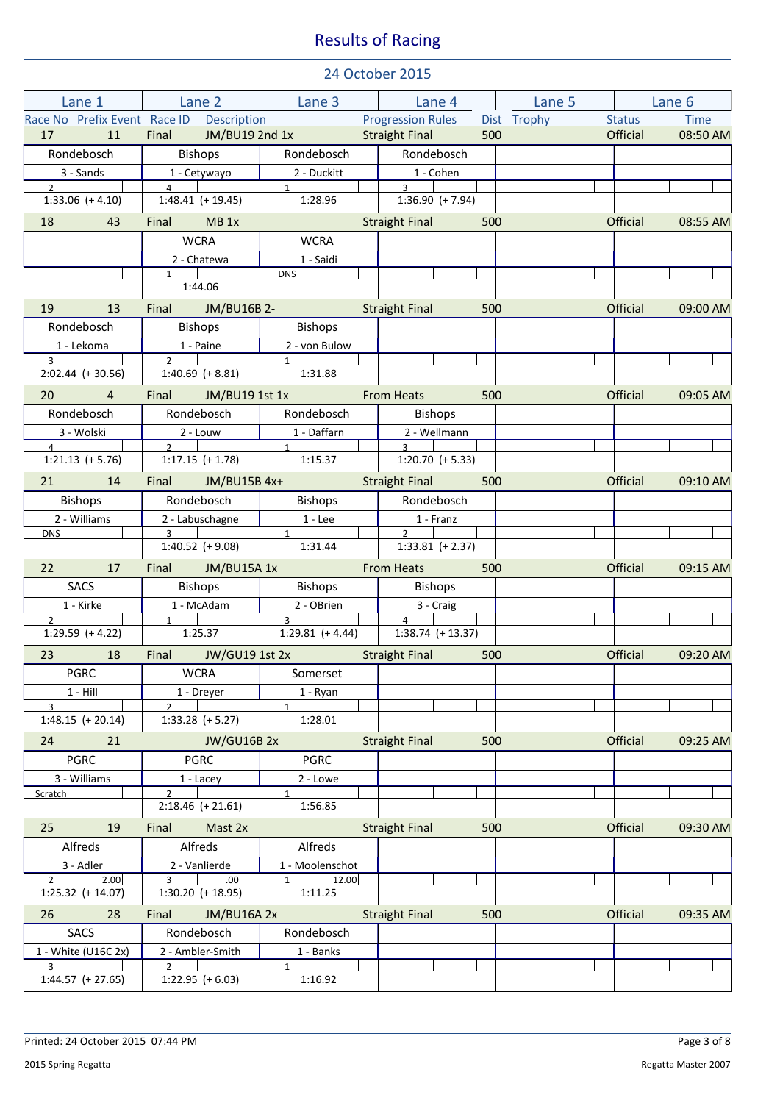| Lane 1                                                                                                                            | Lane 2                                                    |                                                                                                                | <b>Example 2</b> Lane 4 Lane 5       |     |             | Lane 6        |          |
|-----------------------------------------------------------------------------------------------------------------------------------|-----------------------------------------------------------|----------------------------------------------------------------------------------------------------------------|--------------------------------------|-----|-------------|---------------|----------|
|                                                                                                                                   | Race No Prefix Event Race ID Description                  |                                                                                                                | <b>Progression Rules</b>             |     | Dist Trophy | <b>Status</b> | Time     |
| 11<br>17<br><b>Contract Contract Contract Contract Contract Contract Contract Contract Contract Contract Contract Contract Co</b> | Final JM/BU19 2nd 1x                                      |                                                                                                                | <b>Straight Final</b>                | 500 |             | Official      | 08:50 AM |
| Rondebosch                                                                                                                        | <b>Bishops</b>                                            | Rondebosch                                                                                                     | Rondebosch                           |     |             |               |          |
| 3 - Sands                                                                                                                         | 1 - Cetywayo                                              | 2 - Duckitt                                                                                                    | 1 - Cohen                            |     |             |               |          |
| $2^{\circ}$<br>$1:33.06 (+ 4.10)$                                                                                                 | $\overline{4}$<br>$1:48.41 (+ 19.45)$                     | $1 \quad \blacksquare$<br>1:28.96                                                                              | $3^{\circ}$<br>$1:36.90 (+ 7.94)$    |     |             |               |          |
| 18 43                                                                                                                             | Final MB 1x                                               |                                                                                                                | <b>Straight Final Straight Final</b> | 500 |             | Official      | 08:55 AM |
|                                                                                                                                   | <b>WCRA</b>                                               | <b>WCRA</b>                                                                                                    |                                      |     |             |               |          |
|                                                                                                                                   | 2 - Chatewa<br>1                                          | 1 - Saidi<br><b>DNS</b>                                                                                        |                                      |     |             |               |          |
|                                                                                                                                   | 1:44.06                                                   |                                                                                                                |                                      |     |             |               |          |
| 19<br>13                                                                                                                          | Final JM/BU16B 2-                                         |                                                                                                                | <b>Straight Final</b>                | 500 |             | Official      | 09:00 AM |
| Rondebosch                                                                                                                        | <b>Bishops</b>                                            | Bishops                                                                                                        |                                      |     |             |               |          |
| 1 - Lekoma                                                                                                                        | 1 - Paine                                                 | 2 - von Bulow                                                                                                  |                                      |     |             |               |          |
| $\overline{3}$<br>$2:02.44 (+ 30.56)$                                                                                             | $2^{\circ}$<br>$1:40.69$ $(+ 8.81)$                       | $\overline{1}$<br>1:31.88                                                                                      |                                      |     |             |               |          |
| 20 4                                                                                                                              | Final JM/BU19 1st 1x                                      |                                                                                                                | <b>From Heats</b>                    | 500 |             | Official      | 09:05 AM |
| Rondebosch                                                                                                                        | Rondebosch                                                | Rondebosch                                                                                                     | Bishops                              |     |             |               |          |
| 3 - Wolski                                                                                                                        | 2 - Louw                                                  | 1 - Daffarn                                                                                                    | 2 - Wellmann                         |     |             |               |          |
| $\overline{4}$                                                                                                                    | $\overline{2}$                                            | 1                                                                                                              | $\overline{3}$                       |     |             |               |          |
| $1:21.13 (+ 5.76)$                                                                                                                | $1:17.15$ (+ 1.78)                                        | 1:15.37                                                                                                        | $1:20.70$ (+ 5.33)                   |     |             |               |          |
| 21 14                                                                                                                             | Final JM/BU15B 4x+                                        | and the state of the state of the state of the state of the state of the state of the state of the state of th | Straight Final 500                   |     |             | Official      | 09:10 AM |
| <b>Bishops</b>                                                                                                                    | Rondebosch                                                | Bishops                                                                                                        | Rondebosch                           |     |             |               |          |
| 2 - Williams                                                                                                                      | 2 - Labuschagne<br>$\overline{\phantom{a}3\phantom{a}}$   | $1 - Lee$                                                                                                      | 1 - Franz                            |     |             |               |          |
| <b>DNS</b>                                                                                                                        | $1:40.52$ (+ 9.08)                                        | $1 \quad$<br>1:31.44                                                                                           | $2^{\circ}$<br>$1:33.81$ (+ 2.37)    |     |             |               |          |
| 22 17                                                                                                                             | Final JM/BU15A 1x                                         | <u>a sa san</u>                                                                                                | <b>From Heats Example 2019</b>       | 500 |             | Official      | 09:15 AM |
| SACS                                                                                                                              | <b>Bishops</b>                                            | <b>Bishops</b>                                                                                                 | Bishops                              |     |             |               |          |
| 1 - Kirke                                                                                                                         | 1 - McAdam                                                | 2 - OBrien                                                                                                     | 3 - Craig                            |     |             |               |          |
| $\mathcal{P}$                                                                                                                     | $1 \quad \blacksquare$                                    | $3^{\circ}$                                                                                                    | $\overline{4}$                       |     |             |               |          |
| $1:29.59$ (+4.22)                                                                                                                 | 1:25.37                                                   | $1:29.81 (+ 4.44)$                                                                                             | $1:38.74$ (+ 13.37)                  |     |             |               |          |
| 23 <sup>2</sup><br>18                                                                                                             | Final JW/GU19 1st 2x Straight Final                       |                                                                                                                |                                      | 500 |             | Official      | 09:20 AM |
| <b>PGRC</b>                                                                                                                       |                                                           | WCRA   Somerset                                                                                                |                                      |     |             |               |          |
| $1 - Hill$<br>$\overline{3}$                                                                                                      | 1 - Dreyer                                                | 1 - Ryan                                                                                                       |                                      |     |             |               |          |
| $1:48.15 (+ 20.14)$                                                                                                               | $1:33.28$ (+5.27)                                         | 1:28.01                                                                                                        |                                      |     |             |               |          |
| 21<br>24                                                                                                                          | <b>JW/GU16B 2x</b>                                        |                                                                                                                | <b>Straight Final</b>                | 500 |             | Official      | 09:25 AM |
| <b>PGRC</b>                                                                                                                       | <b>PGRC</b>                                               | <b>PGRC</b>                                                                                                    |                                      |     |             |               |          |
| 3 - Williams                                                                                                                      | 1 - Lacey                                                 | 2 - Lowe                                                                                                       |                                      |     |             |               |          |
| Scratch                                                                                                                           | $\mathcal{P}$<br>$2:18.46 (+ 21.61)$                      | 1:56.85                                                                                                        |                                      |     |             |               |          |
| 19<br>25                                                                                                                          | Mast 2x<br>Final                                          |                                                                                                                | <b>Straight Final</b>                | 500 |             | Official      | 09:30 AM |
| Alfreds                                                                                                                           | Alfreds                                                   | Alfreds                                                                                                        |                                      |     |             |               |          |
| 3 - Adler                                                                                                                         | 2 - Vanlierde                                             | 1 - Moolenschot                                                                                                |                                      |     |             |               |          |
| $\overline{2}$<br>2.00<br>$1:25.32$ (+ 14.07)                                                                                     | $\overline{3}$<br>.00 <sub>1</sub><br>$1:30.20$ (+ 18.95) | $1$ 12.00<br>1:11.25                                                                                           |                                      |     |             |               |          |
| 26<br>28                                                                                                                          | Final<br>JM/BU16A 2x                                      |                                                                                                                | <b>Straight Final</b>                | 500 |             | Official      | 09:35 AM |
| SACS                                                                                                                              | Rondebosch                                                | Rondebosch                                                                                                     |                                      |     |             |               |          |
| 1 - White (U16C 2x)                                                                                                               | 2 - Ambler-Smith                                          | 1 - Banks                                                                                                      |                                      |     |             |               |          |
| $\overline{3}$<br>$1:44.57$ (+ 27.65)                                                                                             | $\mathcal{P}$<br>$1:22.95 (+ 6.03)$                       | $\mathbf{1}$<br>1:16.92                                                                                        |                                      |     |             |               |          |
|                                                                                                                                   |                                                           |                                                                                                                |                                      |     |             |               |          |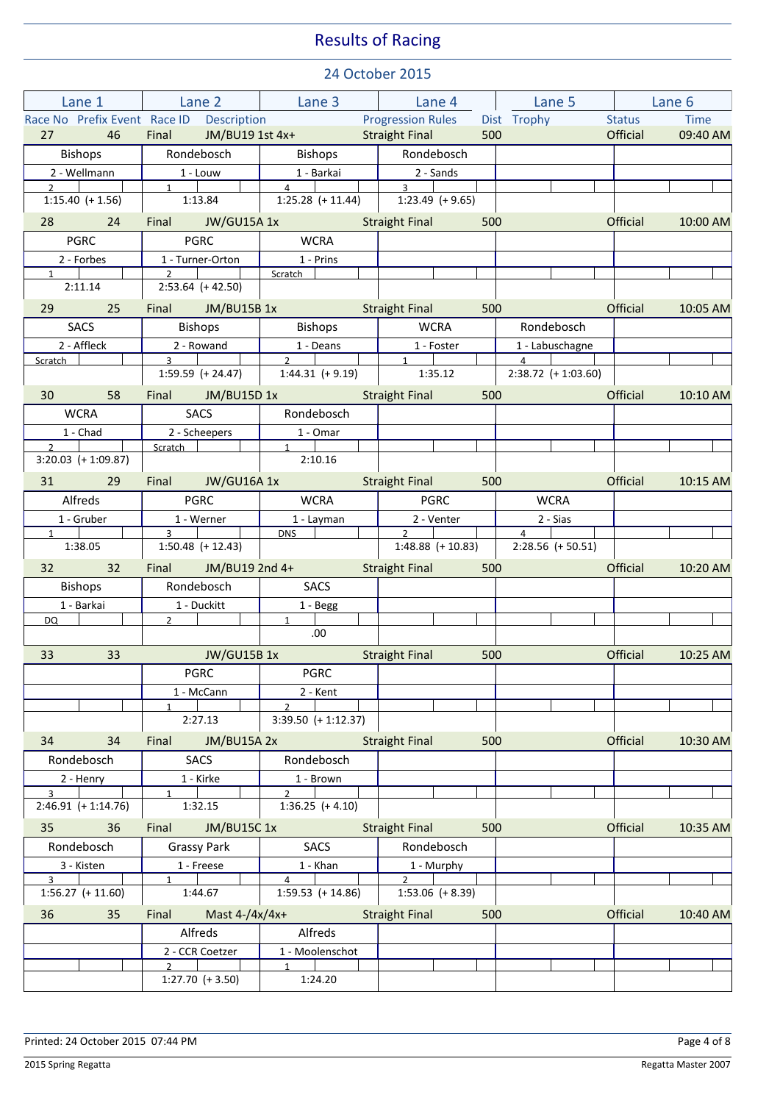| Lane 1                                   | <b>Lane 2</b>                                        | <b>Example 1</b> Lane 4 Lane 4         |                                             | Lane 5                                                |                 | Lane 6   |  |
|------------------------------------------|------------------------------------------------------|----------------------------------------|---------------------------------------------|-------------------------------------------------------|-----------------|----------|--|
| Race No Prefix Event Race ID Description |                                                      |                                        | <b>Progression Rules</b>                    | Dist Trophy                                           | <b>Status</b>   | Time     |  |
| 27 46                                    | Final JM/BU19 1st 4x+                                |                                        | <b>Straight Final</b><br>500                |                                                       | Official        | 09:40 AM |  |
| Bishops                                  | Rondebosch                                           | <b>Bishops</b>                         | Rondebosch                                  |                                                       |                 |          |  |
| 2 - Wellmann<br>$2 \quad \blacksquare$   | 1 - Louw<br>$1 \quad \blacksquare$                   | 1 - Barkai<br>$\overline{4}$           | 2 - Sands<br>$3^{\circ}$                    |                                                       |                 |          |  |
| $1:15.40 (+ 1.56)$                       | 1:13.84                                              | $1:25.28$ (+ 11.44)                    | $1:23.49 (+ 9.65)$                          |                                                       |                 |          |  |
| 28 24                                    | Final JW/GU15A 1x                                    | <u>and</u> a strong of                 | <b>Straight Final Straight Final</b><br>500 |                                                       | Official        | 10:00 AM |  |
| <b>PGRC</b>                              | <b>PGRC</b>                                          | <b>WCRA</b>                            |                                             |                                                       |                 |          |  |
| 2 - Forbes                               | 1 - Turner-Orton                                     | 1 - Prins                              |                                             |                                                       |                 |          |  |
| $1 \quad$<br>2:11.14                     | $\overline{2}$<br>$2:53.64 (+42.50)$                 | Scratch                                |                                             |                                                       |                 |          |  |
| 29 25                                    | Final JM/BU15B 1x                                    |                                        | <b>Straight Final</b><br>500                |                                                       | Official        | 10:05 AM |  |
| SACS                                     | <b>Bishops</b>                                       | Bishops                                | <b>WCRA</b>                                 | Rondebosch                                            |                 |          |  |
| 2 - Affleck                              | 2 - Rowand                                           | 1 - Deans                              | 1 - Foster                                  | 1 - Labuschagne                                       |                 |          |  |
| Scratch                                  | $\overline{3}$ $\overline{1}$<br>$1:59.59 (+ 24.47)$ | $\overline{2}$  <br>$1:44.31$ (+ 9.19) | $\overline{1}$<br>1:35.12                   | $\overline{4}$ $\overline{1}$<br>$2:38.72 (+1:03.60)$ |                 |          |  |
| 30 58                                    | Final JM/BU15D 1x                                    |                                        | 500<br><b>Straight Final</b>                |                                                       | Official        | 10:10 AM |  |
| <b>WCRA</b>                              | <b>SACS</b>                                          | Rondebosch                             |                                             |                                                       |                 |          |  |
| 1 - Chad                                 | 2 - Scheepers                                        | 1 - Omar                               |                                             |                                                       |                 |          |  |
| $\overline{2}$<br>$3:20.03 (+1:09.87)$   | Scratch                                              | 1<br>2:10.16                           |                                             |                                                       |                 |          |  |
|                                          |                                                      |                                        |                                             |                                                       |                 |          |  |
| 31 29<br>Alfreds                         | Final JW/GU16A 1x<br><b>PGRC</b>                     | <b>WCRA</b>                            | <b>Straight Final</b><br><b>PGRC</b>        | 500<br><b>WCRA</b>                                    | Official        | 10:15 AM |  |
| 1 - Gruber                               | 1 - Werner                                           | 1 - Layman                             | 2 - Venter                                  | 2 - Sias                                              |                 |          |  |
| $1 \quad \blacksquare$                   | $\overline{3}$                                       | <b>DNS</b>                             | $\overline{2}$                              | $\overline{4}$                                        |                 |          |  |
| 1:38.05                                  | $1:50.48$ (+ 12.43)                                  |                                        | $1:48.88$ (+ 10.83)                         | $2:28.56 (+ 50.51)$                                   |                 |          |  |
| $32 \qquad \qquad 32$                    | Final JM/BU19 2nd 4+                                 |                                        | <b>Straight Final Straight Final</b><br>500 |                                                       | Official        | 10:20 AM |  |
| <b>Bishops</b>                           | Rondebosch                                           | SACS                                   |                                             |                                                       |                 |          |  |
| 1 - Barkai<br>DQ.                        | 1 - Duckitt<br>$2^{\sim}$                            | 1 - Begg<br>$1 \quad$                  |                                             |                                                       |                 |          |  |
|                                          |                                                      | .00.                                   |                                             |                                                       |                 |          |  |
| 33<br>33                                 | <b>Example 18 JW/GU15B 1x</b>                        | a sa Tanzania.<br>Mga anggota          | 500<br><b>Straight Final</b>                |                                                       | Official        | 10:25 AM |  |
|                                          | PGRC                                                 | <b>PGRC</b>                            |                                             |                                                       |                 |          |  |
|                                          | 1 - McCann                                           | 2 - Kent                               |                                             |                                                       |                 |          |  |
|                                          | 2:27.13                                              | $\mathfrak{p}$<br>$3:39.50 (+1:12.37)$ |                                             |                                                       |                 |          |  |
| 34<br>34                                 | JM/BU15A 2x<br>Final                                 |                                        | <b>Straight Final</b><br>500                |                                                       | Official        | 10:30 AM |  |
| Rondebosch                               | <b>SACS</b>                                          | Rondebosch                             |                                             |                                                       |                 |          |  |
| 2 - Henry                                | 1 - Kirke                                            | 1 - Brown                              |                                             |                                                       |                 |          |  |
| $\mathbf{R}$                             | $\mathbf{1}$                                         | $\mathcal{P}$                          |                                             |                                                       |                 |          |  |
| $2:46.91 (+ 1:14.76)$                    | 1:32.15                                              | $1:36.25 (+ 4.10)$                     |                                             |                                                       |                 |          |  |
| 35<br>36                                 | JM/BU15C 1x<br>Final                                 |                                        | <b>Straight Final</b><br>500                |                                                       | Official        | 10:35 AM |  |
| Rondebosch                               | <b>Grassy Park</b>                                   | <b>SACS</b>                            | Rondebosch                                  |                                                       |                 |          |  |
| 3 - Kisten<br>$\mathbf{R}$               | 1 - Freese<br>$\mathbf{1}$                           | 1 - Khan<br>$\overline{4}$             | 1 - Murphy<br>$\mathcal{P}$                 |                                                       |                 |          |  |
| $1:56.27 (+ 11.60)$                      | 1:44.67                                              | $1:59.53$ (+ 14.86)                    | $1:53.06 (+ 8.39)$                          |                                                       |                 |          |  |
| 36<br>35                                 | Mast $4 - / 4x / 4x +$<br>Final                      |                                        | <b>Straight Final</b><br>500                |                                                       | <b>Official</b> | 10:40 AM |  |
|                                          | Alfreds                                              | Alfreds                                |                                             |                                                       |                 |          |  |
|                                          | 2 - CCR Coetzer                                      | 1 - Moolenschot                        |                                             |                                                       |                 |          |  |
|                                          | $\mathcal{P}$<br>$1:27.70 (+ 3.50)$                  | $\mathbf{1}$<br>1:24.20                |                                             |                                                       |                 |          |  |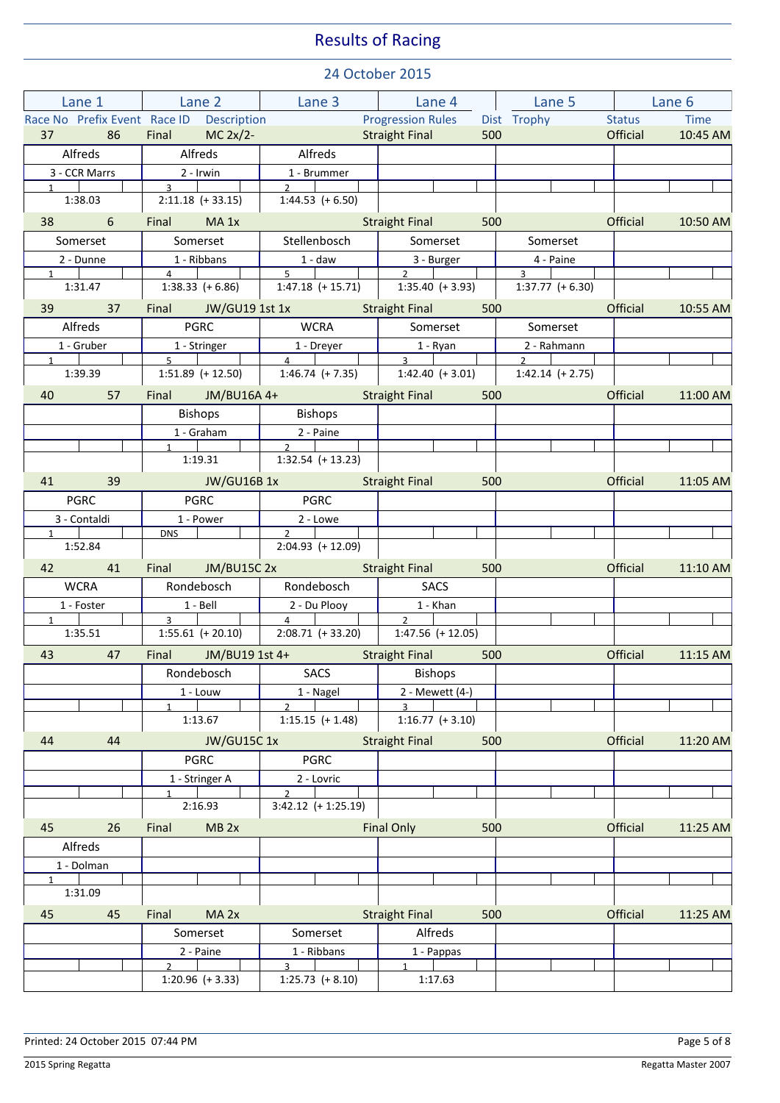| Lane 1                            | <b>Example 2</b> Lane 3 Lane 4 Lane 5 Lane 5 Lane 2 Lane 2 Lane 3 Lane 2 Lane 2 Lane 2 Lane 2 Lane 2 Lane 2 Lane 2 Lane 2 |                                                       |                                                                                        |                                    | Lane 6               |  |
|-----------------------------------|---------------------------------------------------------------------------------------------------------------------------|-------------------------------------------------------|----------------------------------------------------------------------------------------|------------------------------------|----------------------|--|
|                                   | Race No Prefix Event Race ID Description                                                                                  |                                                       | <b>Progression Rules</b>                                                               | Dist Trophy                        | Status Time          |  |
| 37 86                             | Final $MC 2x/2$ -                                                                                                         |                                                       | <b>Straight Final</b><br>500                                                           |                                    | Official<br>10:45 AM |  |
| Alfreds                           | Alfreds                                                                                                                   | Alfreds                                               |                                                                                        |                                    |                      |  |
| 3 - CCR Marrs                     | 2 - Irwin<br>$\overline{3}$ $\overline{1}$                                                                                | 1 - Brummer<br>$2^{\circ}$                            |                                                                                        |                                    |                      |  |
| $1 \quad \blacksquare$<br>1:38.03 | $2:11.18 (+ 33.15)$                                                                                                       | $1:44.53 (+ 6.50)$                                    |                                                                                        |                                    |                      |  |
| 38 6                              | Final MA 1x                                                                                                               |                                                       | 500<br><b>Straight Final</b>                                                           |                                    | Official<br>10:50 AM |  |
| Somerset                          | Somerset                                                                                                                  | Stellenbosch                                          | Somerset                                                                               | Somerset                           |                      |  |
| 2 - Dunne                         | 1 - Ribbans                                                                                                               |                                                       | 3 - Burger                                                                             | 4 - Paine                          |                      |  |
| $\mathbf{1}$                      | $\overline{4}$                                                                                                            | $5 -$                                                 | $\overline{2}$                                                                         | $3^{\circ}$                        |                      |  |
| 1:31.47                           | $1:38.33 (+6.86)$                                                                                                         | $1:47.18$ (+ 15.71)                                   | $1:35.40 (+3.93)$                                                                      | $1:37.77 (+ 6.30)$                 |                      |  |
| 39 37                             |                                                                                                                           | Final JW/GU19 1st 1x Straight Final                   | 500                                                                                    |                                    | Official<br>10:55 AM |  |
| Alfreds                           | <b>PGRC</b>                                                                                                               | <b>WCRA</b>                                           | Somerset                                                                               | Somerset                           |                      |  |
| 1 - Gruber                        | 1 - Stringer<br>$5 \sqrt{2}$                                                                                              | 1 - Dreyer                                            | 1 - Ryan                                                                               | 2 - Rahmann                        |                      |  |
| $1 \quad \blacksquare$<br>1:39.39 |                                                                                                                           | $\overline{4}$                                        | $\overline{3}$ $\overline{1}$<br>$1:51.89$ (+ 12.50) 1:46.74 (+ 7.35) 1:42.40 (+ 3.01) | $2 \sqrt{2}$<br>$1:42.14 (+ 2.75)$ |                      |  |
| 40 57                             | Final JM/BU16A 4+                                                                                                         |                                                       | <b>Straight Final Straight Final</b>                                                   | $500$ and $\sim$ $\sim$ $\sim$     | Official 11:00 AM    |  |
|                                   | <b>Bishops</b>                                                                                                            | Bishops                                               |                                                                                        |                                    |                      |  |
|                                   | 1 - Graham                                                                                                                | 2 - Paine                                             |                                                                                        |                                    |                      |  |
|                                   | $1 \quad \vert \quad \vert$                                                                                               | $\overline{2}$                                        |                                                                                        |                                    |                      |  |
|                                   |                                                                                                                           | $1:19.31$ 1:32.54 (+ 13.23)                           |                                                                                        |                                    |                      |  |
| 41 39                             |                                                                                                                           | <b>Example 10 IW/GU16B 1x</b>                         | <b>Straight Final</b><br>500                                                           |                                    | Official<br>11:05 AM |  |
| <b>PGRC</b>                       | PGRC                                                                                                                      | <b>PGRC</b>                                           |                                                                                        |                                    |                      |  |
| 3 - Contaldi                      | 1 - Power                                                                                                                 | 2 - Lowe                                              |                                                                                        |                                    |                      |  |
| $1 \quad \vert$<br>1:52.84        | DNS                                                                                                                       | $\overline{2}$<br>$2:04.93$ (+ 12.09)                 |                                                                                        |                                    |                      |  |
| 42 41                             | Final JM/BU15C 2x                                                                                                         |                                                       | <b>Straight Final</b><br>500                                                           |                                    | Official<br>11:10 AM |  |
| WCRA                              | Rondebosch                                                                                                                | Rondebosch                                            | <b>SACS</b>                                                                            |                                    |                      |  |
| 1 - Foster                        | 1 - Bell                                                                                                                  | 2 - Du Plooy                                          | 1 - Khan                                                                               |                                    |                      |  |
| $1 \quad$                         | $\overline{3}$ $\overline{1}$ $\overline{1}$                                                                              | $\sim$ 4 $\mid$ $\mid$                                | $\overline{\phantom{a}}$                                                               |                                    |                      |  |
| 1:35.51                           |                                                                                                                           | 1:55.61 (+ 20.10) 2:08.71 (+ 33.20) 1:47.56 (+ 12.05) |                                                                                        |                                    |                      |  |
| 43<br>47                          | Final JM/BU19 1st 4+                                                                                                      |                                                       | Straight Final 500                                                                     |                                    | Official<br>11:15 AM |  |
|                                   |                                                                                                                           | Rondebosch   SACS   Bishops                           |                                                                                        |                                    |                      |  |
|                                   | 1 - Louw<br>$\mathbf{1}$                                                                                                  | 1 - Nagel<br>$\mathcal{P}$                            | 2 - Mewett (4-)<br>$\mathbf{R}$                                                        |                                    |                      |  |
|                                   | 1:13.67                                                                                                                   | $1:15.15 (+ 1.48)$                                    | $1:16.77$ (+ 3.10)                                                                     |                                    |                      |  |
| 44<br>44                          | <b>JW/GU15C1x</b>                                                                                                         |                                                       | <b>Straight Final</b><br>500                                                           |                                    | Official<br>11:20 AM |  |
|                                   | <b>PGRC</b>                                                                                                               | <b>PGRC</b>                                           |                                                                                        |                                    |                      |  |
|                                   | 1 - Stringer A                                                                                                            | 2 - Lovric                                            |                                                                                        |                                    |                      |  |
|                                   | $\mathbf{1}$                                                                                                              | $\overline{2}$                                        |                                                                                        |                                    |                      |  |
|                                   | 2:16.93                                                                                                                   | $3:42.12$ (+ 1:25.19)                                 |                                                                                        |                                    |                      |  |
| 45<br>26                          | MB <sub>2x</sub><br>Final                                                                                                 |                                                       | <b>Final Only</b><br>500                                                               |                                    | Official<br>11:25 AM |  |
| Alfreds                           |                                                                                                                           |                                                       |                                                                                        |                                    |                      |  |
| 1 - Dolman<br>$\mathbf{1}$        |                                                                                                                           |                                                       |                                                                                        |                                    |                      |  |
| 1:31.09                           |                                                                                                                           |                                                       |                                                                                        |                                    |                      |  |
| 45<br>45                          | Final<br>MA <sub>2x</sub>                                                                                                 |                                                       | <b>Straight Final</b><br>500                                                           |                                    | Official<br>11:25 AM |  |
|                                   | Somerset                                                                                                                  | Somerset                                              | Alfreds                                                                                |                                    |                      |  |
|                                   | 2 - Paine                                                                                                                 | 1 - Ribbans                                           | 1 - Pappas                                                                             |                                    |                      |  |
|                                   | $\mathcal{L}$                                                                                                             | $\mathbf{R}$                                          | $\mathbf{1}$                                                                           |                                    |                      |  |
|                                   | $1:20.96 (+ 3.33)$                                                                                                        | $1:25.73$ (+ 8.10)                                    | 1:17.63                                                                                |                                    |                      |  |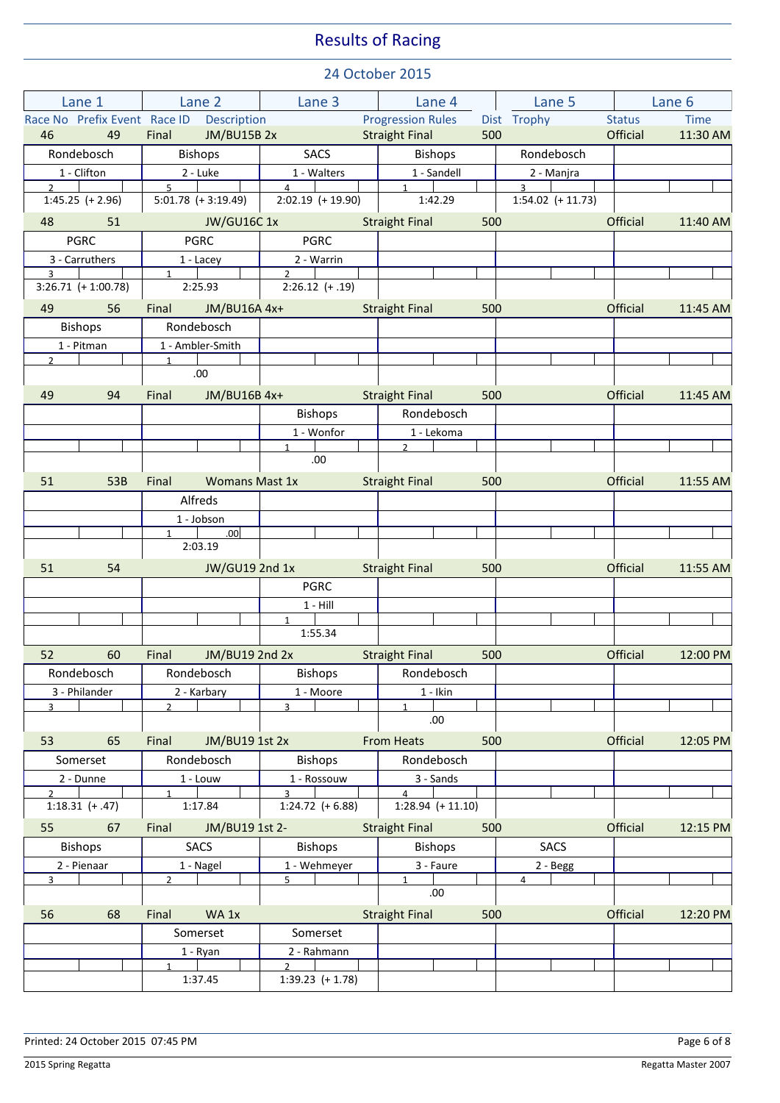| Lane 1                              | Lane 2                                   | Lane 3                                | Lane 4                                | Lane 5                            | Lane 6                       |  |
|-------------------------------------|------------------------------------------|---------------------------------------|---------------------------------------|-----------------------------------|------------------------------|--|
|                                     | Race No Prefix Event Race ID Description |                                       | <b>Progression Rules</b>              | Dist Trophy                       | <b>Status</b><br><b>Time</b> |  |
| 46<br>49                            | Final<br><b>JM/BU15B 2x</b>              |                                       | <b>Straight Final</b><br>500          |                                   | Official<br>11:30 AM         |  |
| Rondebosch                          | <b>Bishops</b>                           | SACS                                  | <b>Bishops</b>                        | Rondebosch                        |                              |  |
| 1 - Clifton                         | 2 - Luke                                 | 1 - Walters                           | 1 - Sandell                           | 2 - Manjra                        |                              |  |
| $2^{\circ}$<br>$1:45.25 (+ 2.96)$   | 5 <sup>7</sup><br>$5:01.78 (+3:19.49)$   | $\overline{4}$<br>$2:02.19$ (+ 19.90) | $1 \quad$<br>1:42.29                  | $3^{\circ}$<br>$1:54.02 (+11.73)$ |                              |  |
| 48<br>51                            | <b>JW/GU16C1x</b>                        |                                       | <b>Straight Final</b><br>500          |                                   | Official<br>11:40 AM         |  |
| <b>PGRC</b>                         | <b>PGRC</b>                              | <b>PGRC</b>                           |                                       |                                   |                              |  |
| 3 - Carruthers<br>$\overline{3}$    | $1 -$ Lacey<br>$1 \quad \blacksquare$    | 2 - Warrin<br>$2^{\circ}$             |                                       |                                   |                              |  |
| $3:26.71 (+ 1:00.78)$               | 2:25.93                                  | $2:26.12 (+.19)$                      |                                       |                                   |                              |  |
| 56<br>49                            | Final<br>JM/BU16A 4x+                    |                                       | <b>Straight Final</b><br>500          |                                   | Official<br>11:45 AM         |  |
| <b>Bishops</b>                      | Rondebosch                               |                                       |                                       |                                   |                              |  |
| 1 - Pitman                          | 1 - Ambler-Smith                         |                                       |                                       |                                   |                              |  |
| $2^{\circ}$                         | $1 \quad$<br>.00.                        |                                       |                                       |                                   |                              |  |
| 49<br>94                            | JM/BU16B 4x+<br>Final                    |                                       | 500<br><b>Straight Final</b>          |                                   | Official<br>11:45 AM         |  |
|                                     |                                          | <b>Bishops</b>                        | Rondebosch                            |                                   |                              |  |
|                                     |                                          | 1 - Wonfor                            | 1 - Lekoma                            |                                   |                              |  |
|                                     |                                          | $\mathbf{1}$<br>.00.                  | $2^{\circ}$                           |                                   |                              |  |
|                                     | <b>Womans Mast 1x</b>                    |                                       |                                       |                                   | Official                     |  |
| 51<br>53B                           | Final<br>Alfreds                         |                                       | <b>Straight Final</b><br>500          |                                   | 11:55 AM                     |  |
|                                     | 1 - Jobson                               |                                       |                                       |                                   |                              |  |
|                                     | 1<br>.00                                 |                                       |                                       |                                   |                              |  |
|                                     | 2:03.19                                  |                                       |                                       |                                   |                              |  |
| 51<br>54                            | JW/GU19 2nd 1x                           |                                       | <b>Straight Final</b><br>500          |                                   | <b>Official</b><br>11:55 AM  |  |
|                                     |                                          | <b>PGRC</b>                           |                                       |                                   |                              |  |
|                                     |                                          | $1 - Hill$                            |                                       |                                   |                              |  |
|                                     |                                          | 1<br>1:55.34                          |                                       |                                   |                              |  |
| 52<br>60                            | JM/BU19 2nd 2x<br>Final                  |                                       | <b>Straight Final</b><br>500          |                                   | Official<br>12:00 PM         |  |
| Rondebosch                          | Rondebosch                               | Bishops                               | Rondebosch                            |                                   |                              |  |
| 3 - Philander                       | 2 - Karbary                              | 1 - Moore                             | $1 -$ Ikin                            |                                   |                              |  |
| $\overline{3}$                      | $\overline{2}$                           | $\overline{3}$                        | $\mathbf{1}$<br>.00.                  |                                   |                              |  |
| 53<br>65                            | Final<br>JM/BU19 1st 2x                  |                                       | <b>From Heats</b><br>500              |                                   | Official<br>12:05 PM         |  |
| Somerset                            | Rondebosch                               | <b>Bishops</b>                        | Rondebosch                            |                                   |                              |  |
| $2 - D$ unne                        | 1 - Louw                                 | 1 - Rossouw                           | 3 - Sands                             |                                   |                              |  |
| $\mathfrak{p}$<br>$1:18.31 (+ .47)$ | $\mathbf{1}$<br>1:17.84                  | $\mathbf{a}$<br>$1:24.72$ (+6.88)     | $\overline{4}$<br>$1:28.94 (+ 11.10)$ |                                   |                              |  |
| 55<br>67                            | JM/BU19 1st 2-<br>Final                  |                                       | <b>Straight Final</b><br>500          |                                   | Official<br>12:15 PM         |  |
| <b>Bishops</b>                      | <b>SACS</b>                              | <b>Bishops</b>                        | <b>Bishops</b>                        | <b>SACS</b>                       |                              |  |
| 2 - Pienaar                         | 1 - Nagel                                | 1 - Wehmeyer                          | 3 - Faure                             | 2 - Begg                          |                              |  |
| $\overline{3}$                      | $\overline{2}$                           | 5 <sup>1</sup>                        | $\mathbf{1}$<br>.00.                  | 4                                 |                              |  |
| 56<br>68                            | WA 1x<br>Final                           |                                       | <b>Straight Final</b><br>500          |                                   | Official<br>12:20 PM         |  |
|                                     | Somerset                                 | Somerset                              |                                       |                                   |                              |  |
|                                     | 1 - Ryan                                 | 2 - Rahmann                           |                                       |                                   |                              |  |
|                                     |                                          | $\mathcal{P}$                         |                                       |                                   |                              |  |
|                                     | 1:37.45                                  | $1:39.23$ (+ 1.78)                    |                                       |                                   |                              |  |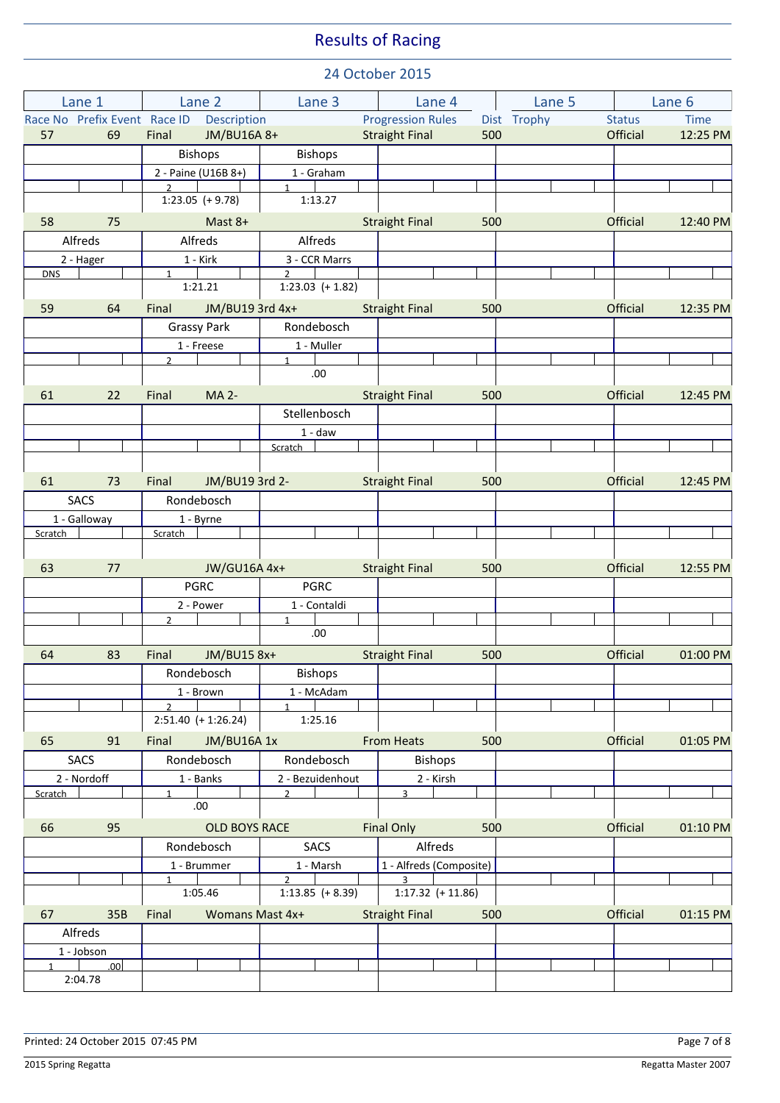|              | Lane 1            | Lane 2                                   |                      | Lane 3                               |  | Lane 4                   |     | Lane 5      |                 | Lane 6      |
|--------------|-------------------|------------------------------------------|----------------------|--------------------------------------|--|--------------------------|-----|-------------|-----------------|-------------|
|              |                   | Race No Prefix Event Race ID Description |                      |                                      |  | <b>Progression Rules</b> |     | Dist Trophy | <b>Status</b>   | <b>Time</b> |
| 57           | 69                | Final                                    | JM/BU16A 8+          |                                      |  | <b>Straight Final</b>    | 500 |             | Official        | 12:25 PM    |
|              |                   |                                          | <b>Bishops</b>       | <b>Bishops</b>                       |  |                          |     |             |                 |             |
|              |                   |                                          | 2 - Paine (U16B 8+)  | 1 - Graham                           |  |                          |     |             |                 |             |
|              |                   | $\mathcal{P}$                            | $1:23.05 (+ 9.78)$   | $\mathbf{1}$<br>1:13.27              |  |                          |     |             |                 |             |
| 58           | 75                |                                          | Mast 8+              |                                      |  | <b>Straight Final</b>    | 500 |             | <b>Official</b> | 12:40 PM    |
|              | Alfreds           |                                          | Alfreds              | Alfreds                              |  |                          |     |             |                 |             |
|              | 2 - Hager         |                                          | 1 - Kirk             | 3 - CCR Marrs                        |  |                          |     |             |                 |             |
| <b>DNS</b>   |                   | 1                                        | 1:21.21              | $\mathfrak{D}$<br>$1:23.03$ (+ 1.82) |  |                          |     |             |                 |             |
| 59           | 64                | Final                                    | JM/BU19 3rd 4x+      |                                      |  | <b>Straight Final</b>    | 500 |             | Official        | 12:35 PM    |
|              |                   |                                          | <b>Grassy Park</b>   | Rondebosch                           |  |                          |     |             |                 |             |
|              |                   |                                          | 1 - Freese           | 1 - Muller                           |  |                          |     |             |                 |             |
|              |                   | $\overline{2}$                           |                      | 1<br>.00.                            |  |                          |     |             |                 |             |
| 61           | 22                | Final                                    | <b>MA 2-</b>         |                                      |  | <b>Straight Final</b>    | 500 |             | <b>Official</b> | 12:45 PM    |
|              |                   |                                          |                      | Stellenbosch                         |  |                          |     |             |                 |             |
|              |                   |                                          |                      | $1 - daw$                            |  |                          |     |             |                 |             |
|              |                   |                                          |                      | Scratch                              |  |                          |     |             |                 |             |
|              |                   |                                          |                      |                                      |  |                          |     |             |                 |             |
| 61           | 73                | Final                                    | JM/BU19 3rd 2-       |                                      |  | <b>Straight Final</b>    | 500 |             | Official        | 12:45 PM    |
|              | <b>SACS</b>       |                                          | Rondebosch           |                                      |  |                          |     |             |                 |             |
|              | 1 - Galloway      |                                          | 1 - Byrne            |                                      |  |                          |     |             |                 |             |
| Scratch      |                   | Scratch                                  |                      |                                      |  |                          |     |             |                 |             |
| 63           | 77                |                                          | JW/GU16A 4x+         |                                      |  | <b>Straight Final</b>    | 500 |             | Official        | 12:55 PM    |
|              |                   |                                          | <b>PGRC</b>          | <b>PGRC</b>                          |  |                          |     |             |                 |             |
|              |                   |                                          | 2 - Power            | 1 - Contaldi                         |  |                          |     |             |                 |             |
|              |                   | $\overline{2}$                           |                      | $\mathbf{1}$                         |  |                          |     |             |                 |             |
|              |                   |                                          |                      | .00.                                 |  |                          |     |             |                 |             |
| 64           | 83                | Final                                    | JM/BU15 8x+          |                                      |  | <b>Straight Final</b>    | 500 |             | Official        | 01:00 PM    |
|              |                   |                                          | <b>Rondebosch</b>    | <b>Bishops</b>                       |  |                          |     |             |                 |             |
|              |                   |                                          | $1 - Brown$          | 1 - McAdam                           |  |                          |     |             |                 |             |
|              |                   | $\overline{2}$                           | $2:51.40 (+1:26.24)$ | $\mathbf{1}$<br>1:25.16              |  |                          |     |             |                 |             |
| 65           | 91                | Final                                    | JM/BU16A 1x          |                                      |  | <b>From Heats</b>        | 500 |             | Official        | 01:05 PM    |
|              | <b>SACS</b>       |                                          | Rondebosch           | Rondebosch                           |  | <b>Bishops</b>           |     |             |                 |             |
|              | 2 - Nordoff       |                                          | 1 - Banks            | 2 - Bezuidenhout                     |  | $2 - Kirsh$              |     |             |                 |             |
| Scratch      |                   | $\mathbf{1}$                             | .00.                 | $\mathfrak{p}$                       |  | $\overline{3}$           |     |             |                 |             |
| 66           | 95                |                                          | <b>OLD BOYS RACE</b> |                                      |  | <b>Final Only</b>        | 500 |             | <b>Official</b> | 01:10 PM    |
|              |                   |                                          | Rondebosch           | <b>SACS</b>                          |  | Alfreds                  |     |             |                 |             |
|              |                   |                                          | 1 - Brummer          | 1 - Marsh                            |  | 1 - Alfreds (Composite)  |     |             |                 |             |
|              |                   | $\mathbf{1}$                             |                      | $2^{\circ}$                          |  | $\overline{3}$           |     |             |                 |             |
|              |                   |                                          | 1:05.46              | $1:13.85$ (+8.39)                    |  | $1:17.32$ (+ 11.86)      |     |             |                 |             |
| 67           | 35B               | Final                                    | Womans Mast 4x+      |                                      |  | <b>Straight Final</b>    | 500 |             | Official        | 01:15 PM    |
|              | Alfreds           |                                          |                      |                                      |  |                          |     |             |                 |             |
| $\mathbf{1}$ | 1 - Jobson<br>.00 |                                          |                      |                                      |  |                          |     |             |                 |             |
|              | 2:04.78           |                                          |                      |                                      |  |                          |     |             |                 |             |